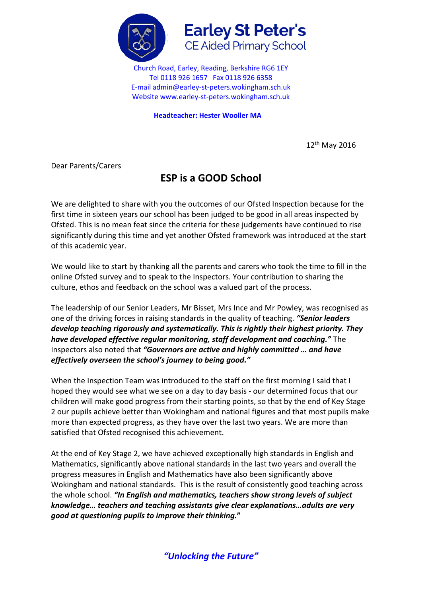



Church Road, Earley, Reading, Berkshire RG6 1EY Tel 0118 926 1657 Fax 0118 926 6358 E-mail admin@earley-st-peters.wokingham.sch.uk Website www.earley-st-peters.wokingham.sch.uk

**Headteacher: Hester Wooller MA**

12th May 2016

Dear Parents/Carers

## **ESP is a GOOD School**

We are delighted to share with you the outcomes of our Ofsted Inspection because for the first time in sixteen years our school has been judged to be good in all areas inspected by Ofsted. This is no mean feat since the criteria for these judgements have continued to rise significantly during this time and yet another Ofsted framework was introduced at the start of this academic year.

We would like to start by thanking all the parents and carers who took the time to fill in the online Ofsted survey and to speak to the Inspectors. Your contribution to sharing the culture, ethos and feedback on the school was a valued part of the process.

The leadership of our Senior Leaders, Mr Bisset, Mrs Ince and Mr Powley, was recognised as one of the driving forces in raising standards in the quality of teaching. *"Senior leaders develop teaching rigorously and systematically. This is rightly their highest priority. They have developed effective regular monitoring, staff development and coaching."* The Inspectors also noted that *"Governors are active and highly committed … and have effectively overseen the school's journey to being good."*

When the Inspection Team was introduced to the staff on the first morning I said that I hoped they would see what we see on a day to day basis - our determined focus that our children will make good progress from their starting points, so that by the end of Key Stage 2 our pupils achieve better than Wokingham and national figures and that most pupils make more than expected progress, as they have over the last two years. We are more than satisfied that Ofsted recognised this achievement.

At the end of Key Stage 2, we have achieved exceptionally high standards in English and Mathematics, significantly above national standards in the last two years and overall the progress measures in English and Mathematics have also been significantly above Wokingham and national standards. This is the result of consistently good teaching across the whole school. *"In English and mathematics, teachers show strong levels of subject knowledge… teachers and teaching assistants give clear explanations…adults are very good at questioning pupils to improve their thinking.***"**

*"Unlocking the Future"*